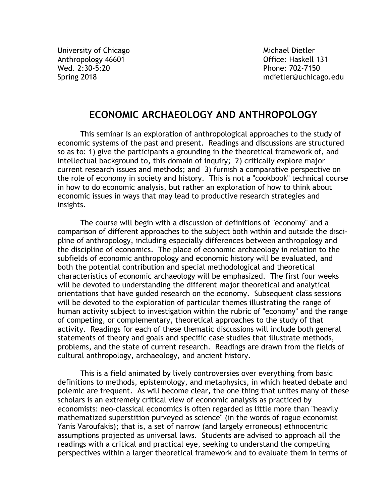University of Chicago and Michael Dietler Anthropology 46601 and the control of the Office: Haskell 131 Wed. 2:30-5:20 Phone: 702-7150

Spring 2018 mdietler@uchicago.edu

# **ECONOMIC ARCHAEOLOGY AND ANTHROPOLOGY**

This seminar is an exploration of anthropological approaches to the study of economic systems of the past and present. Readings and discussions are structured so as to: 1) give the participants a grounding in the theoretical framework of, and intellectual background to, this domain of inquiry; 2) critically explore major current research issues and methods; and 3) furnish a comparative perspective on the role of economy in society and history. This is not a "cookbook" technical course in how to do economic analysis, but rather an exploration of how to think about economic issues in ways that may lead to productive research strategies and insights.

The course will begin with a discussion of definitions of "economy" and a comparison of different approaches to the subject both within and outside the discipline of anthropology, including especially differences between anthropology and the discipline of economics. The place of economic archaeology in relation to the subfields of economic anthropology and economic history will be evaluated, and both the potential contribution and special methodological and theoretical characteristics of economic archaeology will be emphasized. The first four weeks will be devoted to understanding the different major theoretical and analytical orientations that have guided research on the economy. Subsequent class sessions will be devoted to the exploration of particular themes illustrating the range of human activity subject to investigation within the rubric of "economy" and the range of competing, or complementary, theoretical approaches to the study of that activity. Readings for each of these thematic discussions will include both general statements of theory and goals and specific case studies that illustrate methods, problems, and the state of current research. Readings are drawn from the fields of cultural anthropology, archaeology, and ancient history.

This is a field animated by lively controversies over everything from basic definitions to methods, epistemology, and metaphysics, in which heated debate and polemic are frequent. As will become clear, the one thing that unites many of these scholars is an extremely critical view of economic analysis as practiced by economists: neo-classical economics is often regarded as little more than "heavily mathematized superstition purveyed as science" (in the words of rogue economist Yanis Varoufakis); that is, a set of narrow (and largely erroneous) ethnocentric assumptions projected as universal laws. Students are advised to approach all the readings with a critical and practical eye, seeking to understand the competing perspectives within a larger theoretical framework and to evaluate them in terms of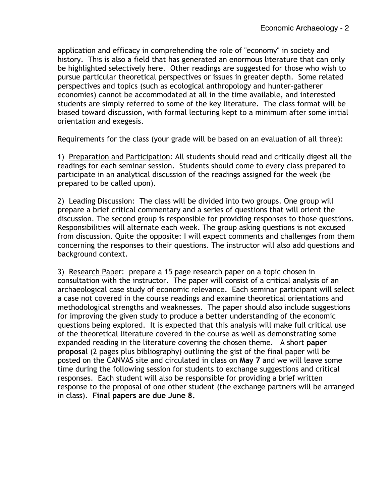application and efficacy in comprehending the role of "economy" in society and history. This is also a field that has generated an enormous literature that can only be highlighted selectively here. Other readings are suggested for those who wish to pursue particular theoretical perspectives or issues in greater depth. Some related perspectives and topics (such as ecological anthropology and hunter-gatherer economies) cannot be accommodated at all in the time available, and interested students are simply referred to some of the key literature. The class format will be biased toward discussion, with formal lecturing kept to a minimum after some initial orientation and exegesis.

Requirements for the class (your grade will be based on an evaluation of all three):

1) Preparation and Participation: All students should read and critically digest all the readings for each seminar session. Students should come to every class prepared to participate in an analytical discussion of the readings assigned for the week (be prepared to be called upon).

2) Leading Discussion: The class will be divided into two groups. One group will prepare a brief critical commentary and a series of questions that will orient the discussion. The second group is responsible for providing responses to those questions. Responsibilities will alternate each week. The group asking questions is not excused from discussion. Quite the opposite: I will expect comments and challenges from them concerning the responses to their questions. The instructor will also add questions and background context.

3) Research Paper: prepare a 15 page research paper on a topic chosen in consultation with the instructor. The paper will consist of a critical analysis of an archaeological case study of economic relevance. Each seminar participant will select a case not covered in the course readings and examine theoretical orientations and methodological strengths and weaknesses. The paper should also include suggestions for improving the given study to produce a better understanding of the economic questions being explored. It is expected that this analysis will make full critical use of the theoretical literature covered in the course as well as demonstrating some expanded reading in the literature covering the chosen theme. A short **paper proposal** (2 pages plus bibliography) outlining the gist of the final paper will be posted on the CANVAS site and circulated in class on **May 7** and we will leave some time during the following session for students to exchange suggestions and critical responses. Each student will also be responsible for providing a brief written response to the proposal of one other student (the exchange partners will be arranged in class). **Final papers are due June 8.**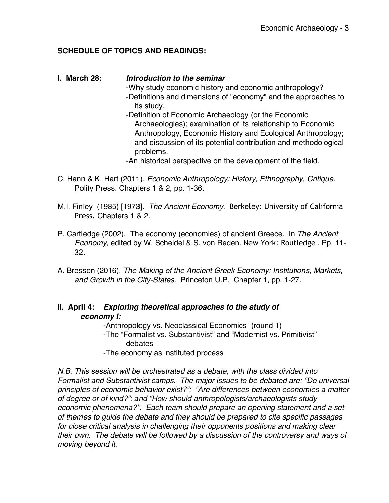### **SCHEDULE OF TOPICS AND READINGS:**

# **I. March 28:** *Introduction to the seminar* -Why study economic history and economic anthropology? -Definitions and dimensions of "economy" and the approaches to its study. -Definition of Economic Archaeology (or the Economic Archaeologies); examination of its relationship to Economic Anthropology, Economic History and Ecological Anthropology; and discussion of its potential contribution and methodological problems. -An historical perspective on the development of the field.

- C. Hann & K. Hart (2011). *Economic Anthropology: History, Ethnography, Critique*. Polity Press. Chapters 1 & 2, pp. 1-36.
- M.I. Finley (1985) [1973]. *The Ancient Economy*. Berkeley: University of California Press. Chapters 1 & 2.
- P. Cartledge (2002). The economy (economies) of ancient Greece. In *The Ancient Economy*, edited by W. Scheidel & S. von Reden. New York: Routledge . Pp. 11- 32.
- A. Bresson (2016). *The Making of the Ancient Greek Economy: Institutions, Markets, and Growth in the City-States*. Princeton U.P. Chapter 1, pp. 1-27.

## **II. April 4:** *Exploring theoretical approaches to the study of economy I:*

-Anthropology vs. Neoclassical Economics (round 1) -The "Formalist vs. Substantivist" and "Modernist vs. Primitivist" debates

-The economy as instituted process

*N.B. This session will be orchestrated as a debate, with the class divided into Formalist and Substantivist camps. The major issues to be debated are: "Do universal principles of economic behavior exist?"; "Are differences between economies a matter of degree or of kind?"; and "How should anthropologists/archaeologists study economic phenomena?". Each team should prepare an opening statement and a set of themes to guide the debate and they should be prepared to cite specific passages for close critical analysis in challenging their opponents positions and making clear their own. The debate will be followed by a discussion of the controversy and ways of moving beyond it.*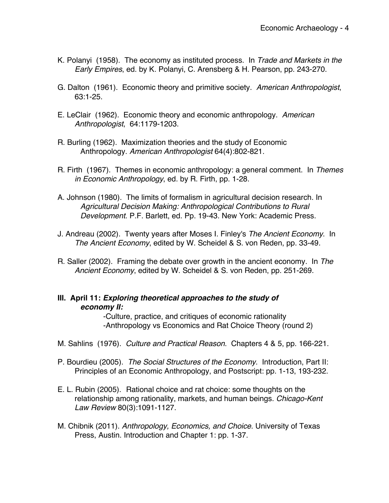- K. Polanyi (1958). The economy as instituted process. In *Trade and Markets in the Early Empires*, ed. by K. Polanyi, C. Arensberg & H. Pearson, pp. 243-270.
- G. Dalton (1961). Economic theory and primitive society. *American Anthropologist*, 63:1-25.
- E. LeClair (1962). Economic theory and economic anthropology. *American Anthropologist*, 64:1179-1203.
- R. Burling (1962). Maximization theories and the study of Economic Anthropology. *American Anthropologist* 64(4):802-821.
- R. Firth (1967). Themes in economic anthropology: a general comment. In *Themes in Economic Anthropology*, ed. by R. Firth, pp. 1-28.
- A. Johnson (1980). The limits of formalism in agricultural decision research. In *Agricultural Decision Making: Anthropological Contributions to Rural Development*. P.F. Barlett, ed. Pp. 19-43. New York: Academic Press.
- J. Andreau (2002). Twenty years after Moses I. Finley's *The Ancient Economy*. In *The Ancient Economy*, edited by W. Scheidel & S. von Reden, pp. 33-49.
- R. Saller (2002). Framing the debate over growth in the ancient economy. In *The Ancient Economy*, edited by W. Scheidel & S. von Reden, pp. 251-269.

#### **III. April 11:** *Exploring theoretical approaches to the study of economy II:*

-Culture, practice, and critiques of economic rationality -Anthropology vs Economics and Rat Choice Theory (round 2)

- M. Sahlins (1976). *Culture and Practical Reason*. Chapters 4 & 5, pp. 166-221.
- P. Bourdieu (2005). *The Social Structures of the Economy*. Introduction, Part II: Principles of an Economic Anthropology, and Postscript: pp. 1-13, 193-232.
- E. L. Rubin (2005). Rational choice and rat choice: some thoughts on the relationship among rationality, markets, and human beings. *Chicago-Kent Law Review* 80(3):1091-1127.
- M. Chibnik (2011). *Anthropology, Economics, and Choice*. University of Texas Press, Austin. Introduction and Chapter 1: pp. 1-37.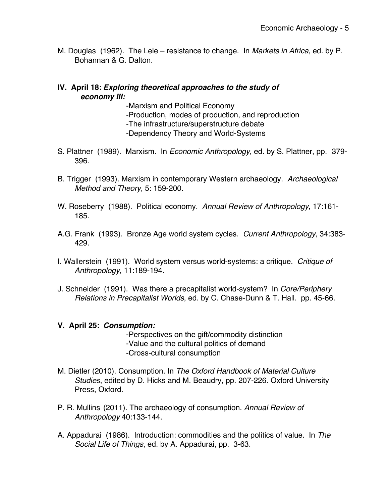M. Douglas (1962). The Lele – resistance to change. In *Markets in Africa*, ed. by P. Bohannan & G. Dalton.

### **IV. April 18:** *Exploring theoretical approaches to the study of economy III:*

- -Marxism and Political Economy
- -Production, modes of production, and reproduction
- -The infrastructure/superstructure debate
- -Dependency Theory and World-Systems
- S. Plattner (1989). Marxism. In *Economic Anthropology*, ed. by S. Plattner, pp. 379- 396.
- B. Trigger (1993). Marxism in contemporary Western archaeology. *Archaeological Method and Theory*, 5: 159-200.
- W. Roseberry (1988). Political economy. *Annual Review of Anthropology*, 17:161- 185.
- A.G. Frank (1993). Bronze Age world system cycles. *Current Anthropology*, 34:383- 429.
- I. Wallerstein (1991). World system versus world-systems: a critique. *Critique of Anthropology*, 11:189-194.
- J. Schneider (1991). Was there a precapitalist world-system? In *Core/Periphery Relations in Precapitalist Worlds*, ed. by C. Chase-Dunn & T. Hall. pp. 45-66.

#### **V. April 25:** *Consumption:*

- -Perspectives on the gift/commodity distinction -Value and the cultural politics of demand -Cross-cultural consumption
- M. Dietler (2010). Consumption*.* In *The Oxford Handbook of Material Culture Studies*, edited by D. Hicks and M. Beaudry, pp. 207-226. Oxford University Press, Oxford.
- P. R. Mullins (2011). The archaeology of consumption. *Annual Review of Anthropology* 40:133-144.
- A. Appadurai (1986). Introduction: commodities and the politics of value. In *The Social Life of Things*, ed. by A. Appadurai, pp. 3-63.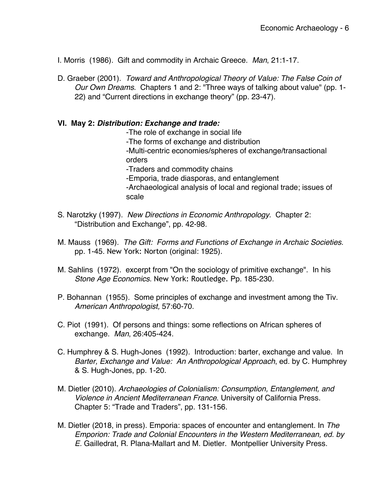- I. Morris (1986). Gift and commodity in Archaic Greece. *Man*, 21:1-17.
- D. Graeber (2001). *Toward and Anthropological Theory of Value: The False Coin of Our Own Dreams*. Chapters 1 and 2: "Three ways of talking about value" (pp. 1- 22) and "Current directions in exchange theory" (pp. 23-47).

#### **VI. May 2:** *Distribution: Exchange and trade:*

-The role of exchange in social life -The forms of exchange and distribution -Multi-centric economies/spheres of exchange/transactional orders -Traders and commodity chains -Emporia, trade diasporas, and entanglement -Archaeological analysis of local and regional trade; issues of scale

- S. Narotzky (1997). *New Directions in Economic Anthropology*. Chapter 2: "Distribution and Exchange", pp. 42-98.
- M. Mauss (1969). *The Gift: Forms and Functions of Exchange in Archaic Societies*. pp. 1-45. New York: Norton (original: 1925).
- M. Sahlins (1972). excerpt from "On the sociology of primitive exchange". In his *Stone Age Economics*. New York: Routledge. Pp. 185-230.
- P. Bohannan (1955). Some principles of exchange and investment among the Tiv. *American Anthropologist,* 57:60-70.
- C. Piot (1991). Of persons and things: some reflections on African spheres of exchange. *Man*, 26:405-424.
- C. Humphrey & S. Hugh-Jones (1992). Introduction: barter, exchange and value. In *Barter, Exchange and Value: An Anthropological Approach*, ed. by C. Humphrey & S. Hugh-Jones, pp. 1-20.
- M. Dietler (2010). *Archaeologies of Colonialism: Consumption, Entanglement, and Violence in Ancient Mediterranean France*. University of California Press. Chapter 5: "Trade and Traders", pp. 131-156.
- M. Dietler (2018, in press). Emporia: spaces of encounter and entanglement. In *The Emporion: Trade and Colonial Encounters in the Western Mediterranean, ed. by E.* Gailledrat, R. Plana-Mallart and M. Dietler. Montpellier University Press.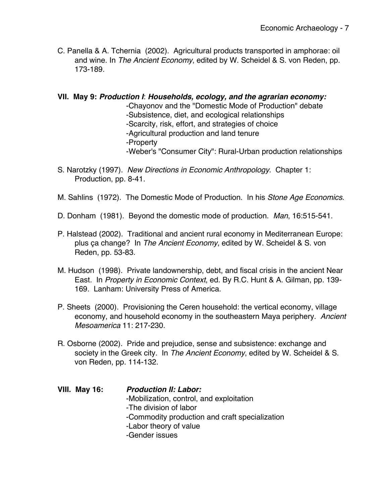- C. Panella & A. Tchernia (2002). Agricultural products transported in amphorae: oil and wine. In *The Ancient Economy*, edited by W. Scheidel & S. von Reden, pp. 173-189.
- **VII. May 9:** *Production I*: *Households, ecology, and the agrarian economy:*

-Chayonov and the "Domestic Mode of Production" debate

- -Subsistence, diet, and ecological relationships
- -Scarcity, risk, effort, and strategies of choice
- -Agricultural production and land tenure
- -Property
- -Weber's "Consumer City": Rural-Urban production relationships
- S. Narotzky (1997). *New Directions in Economic Anthropology*. Chapter 1: Production, pp. 8-41.
- M. Sahlins (1972). The Domestic Mode of Production. In his *Stone Age Economics*.
- D. Donham (1981). Beyond the domestic mode of production. *Man*, 16:515-541.
- P. Halstead (2002). Traditional and ancient rural economy in Mediterranean Europe: plus ça change? In *The Ancient Economy*, edited by W. Scheidel & S. von Reden, pp. 53-83.
- M. Hudson (1998). Private landownership, debt, and fiscal crisis in the ancient Near East. In *Property in Economic Context*, ed. By R.C. Hunt & A. Gilman, pp. 139- 169. Lanham: University Press of America.
- P. Sheets (2000). Provisioning the Ceren household: the vertical economy, village economy, and household economy in the southeastern Maya periphery. *Ancient Mesoamerica* 11: 217-230.
- R. Osborne (2002). Pride and prejudice, sense and subsistence: exchange and society in the Greek city. In *The Ancient Economy*, edited by W. Scheidel & S. von Reden, pp. 114-132.

**VIII. May 16:** *Production II: Labor:* -Mobilization, control, and exploitation -The division of labor -Commodity production and craft specialization -Labor theory of value -Gender issues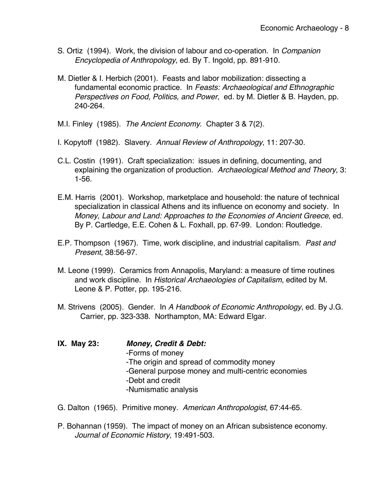- S. Ortiz (1994). Work, the division of labour and co-operation. In *Companion Encyclopedia of Anthropology*, ed. By T. Ingold, pp. 891-910.
- M. Dietler & I. Herbich (2001). Feasts and labor mobilization: dissecting a fundamental economic practice. In *Feasts: Archaeological and Ethnographic Perspectives on Food, Politics, and Power*, ed. by M. Dietler & B. Hayden, pp. 240-264.
- M.I. Finley (1985). *The Ancient Economy*. Chapter 3 & 7(2).
- I. Kopytoff (1982). Slavery. *Annual Review of Anthropology*, 11: 207-30.
- C.L. Costin (1991). Craft specialization: issues in defining, documenting, and explaining the organization of production. *Archaeological Method and Theory*, 3: 1-56.
- E.M. Harris (2001). Workshop, marketplace and household: the nature of technical specialization in classical Athens and its influence on economy and society. In *Money, Labour and Land: Approaches to the Economies of Ancient Greece*, ed. By P. Cartledge, E.E. Cohen & L. Foxhall, pp. 67-99. London: Routledge.
- E.P. Thompson (1967). Time, work discipline, and industrial capitalism. *Past and Present*, 38:56-97.
- M. Leone (1999). Ceramics from Annapolis, Maryland: a measure of time routines and work discipline. In *Historical Archaeologies of Capitalism*, edited by M. Leone & P. Potter, pp. 195-216.
- M. Strivens (2005). Gender. In *A Handbook of Economic Anthropology*, ed. By J.G. Carrier, pp. 323-338. Northampton, MA: Edward Elgar.

**IX. May 23:** *Money, Credit & Debt:* -Forms of money -The origin and spread of commodity money -General purpose money and multi-centric economies -Debt and credit -Numismatic analysis

- G. Dalton (1965). Primitive money. *American Anthropologist*, 67:44-65.
- P. Bohannan (1959). The impact of money on an African subsistence economy. *Journal of Economic History*, 19:491-503.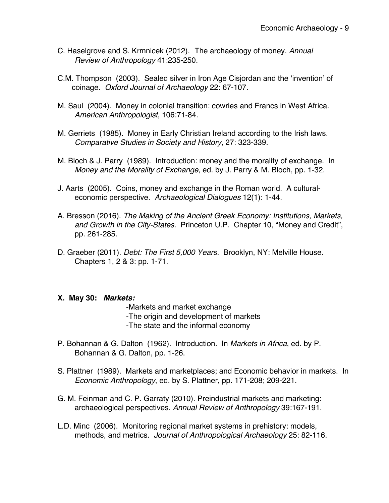- C. Haselgrove and S. Krmnicek (2012). The archaeology of money. *Annual Review of Anthropology* 41:235-250.
- C.M. Thompson (2003). Sealed silver in Iron Age Cisjordan and the 'invention' of coinage. *Oxford Journal of Archaeology* 22: 67-107.
- M. Saul (2004). Money in colonial transition: cowries and Francs in West Africa. *American Anthropologist*, 106:71-84.
- M. Gerriets (1985). Money in Early Christian Ireland according to the Irish laws. *Comparative Studies in Society and History*, 27: 323-339.
- M. Bloch & J. Parry (1989). Introduction: money and the morality of exchange. In *Money and the Morality of Exchange*, ed. by J. Parry & M. Bloch, pp. 1-32.
- J. Aarts (2005). Coins, money and exchange in the Roman world. A culturaleconomic perspective. *Archaeological Dialogues* 12(1): 1-44.
- A. Bresson (2016). *The Making of the Ancient Greek Economy: Institutions, Markets, and Growth in the City-States*. Princeton U.P. Chapter 10, "Money and Credit", pp. 261-285.
- D. Graeber (2011). *Debt: The First 5,000 Years*. Brooklyn, NY: Melville House. Chapters 1, 2 & 3: pp. 1-71.

#### **X. May 30:** *Markets:*

-Markets and market exchange

- -The origin and development of markets
- -The state and the informal economy
- P. Bohannan & G. Dalton (1962). Introduction. In *Markets in Africa*, ed. by P. Bohannan & G. Dalton, pp. 1-26.
- S. Plattner (1989). Markets and marketplaces; and Economic behavior in markets. In *Economic Anthropology*, ed. by S. Plattner, pp. 171-208; 209-221.
- G. M. Feinman and C. P. Garraty (2010). Preindustrial markets and marketing: archaeological perspectives. *Annual Review of Anthropology* 39:167-191.
- L.D. Minc (2006). Monitoring regional market systems in prehistory: models, methods, and metrics. *Journal of Anthropological Archaeology* 25: 82-116.